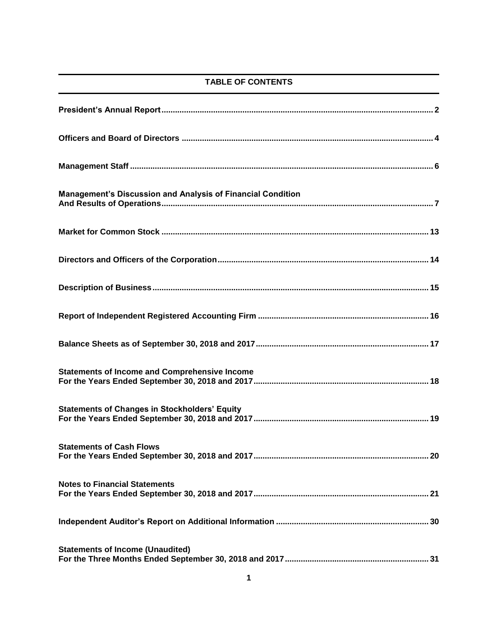# **TABLE OF CONTENTS**

| Management's Discussion and Analysis of Financial Condition |
|-------------------------------------------------------------|
|                                                             |
|                                                             |
|                                                             |
|                                                             |
|                                                             |
| <b>Statements of Income and Comprehensive Income</b>        |
| <b>Statements of Changes in Stockholders' Equity</b>        |
| <b>Statements of Cash Flows</b>                             |
| <b>Notes to Financial Statements</b>                        |
|                                                             |
| <b>Statements of Income (Unaudited)</b>                     |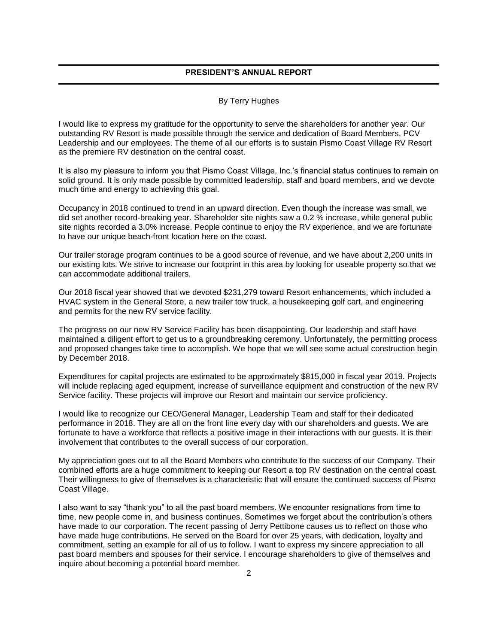# **PRESIDENT'S ANNUAL REPORT**

### By Terry Hughes

I would like to express my gratitude for the opportunity to serve the shareholders for another year. Our outstanding RV Resort is made possible through the service and dedication of Board Members, PCV Leadership and our employees. The theme of all our efforts is to sustain Pismo Coast Village RV Resort as the premiere RV destination on the central coast.

It is also my pleasure to inform you that Pismo Coast Village, Inc.'s financial status continues to remain on solid ground. It is only made possible by committed leadership, staff and board members, and we devote much time and energy to achieving this goal.

Occupancy in 2018 continued to trend in an upward direction. Even though the increase was small, we did set another record-breaking year. Shareholder site nights saw a 0.2 % increase, while general public site nights recorded a 3.0% increase. People continue to enjoy the RV experience, and we are fortunate to have our unique beach-front location here on the coast.

Our trailer storage program continues to be a good source of revenue, and we have about 2,200 units in our existing lots. We strive to increase our footprint in this area by looking for useable property so that we can accommodate additional trailers.

Our 2018 fiscal year showed that we devoted \$231,279 toward Resort enhancements, which included a HVAC system in the General Store, a new trailer tow truck, a housekeeping golf cart, and engineering and permits for the new RV service facility.

The progress on our new RV Service Facility has been disappointing. Our leadership and staff have maintained a diligent effort to get us to a groundbreaking ceremony. Unfortunately, the permitting process and proposed changes take time to accomplish. We hope that we will see some actual construction begin by December 2018.

Expenditures for capital projects are estimated to be approximately \$815,000 in fiscal year 2019. Projects will include replacing aged equipment, increase of surveillance equipment and construction of the new RV Service facility. These projects will improve our Resort and maintain our service proficiency.

I would like to recognize our CEO/General Manager, Leadership Team and staff for their dedicated performance in 2018. They are all on the front line every day with our shareholders and guests. We are fortunate to have a workforce that reflects a positive image in their interactions with our guests. It is their involvement that contributes to the overall success of our corporation.

My appreciation goes out to all the Board Members who contribute to the success of our Company. Their combined efforts are a huge commitment to keeping our Resort a top RV destination on the central coast. Their willingness to give of themselves is a characteristic that will ensure the continued success of Pismo Coast Village.

I also want to say "thank you" to all the past board members. We encounter resignations from time to time, new people come in, and business continues. Sometimes we forget about the contribution's others have made to our corporation. The recent passing of Jerry Pettibone causes us to reflect on those who have made huge contributions. He served on the Board for over 25 years, with dedication, loyalty and commitment, setting an example for all of us to follow. I want to express my sincere appreciation to all past board members and spouses for their service. I encourage shareholders to give of themselves and inquire about becoming a potential board member.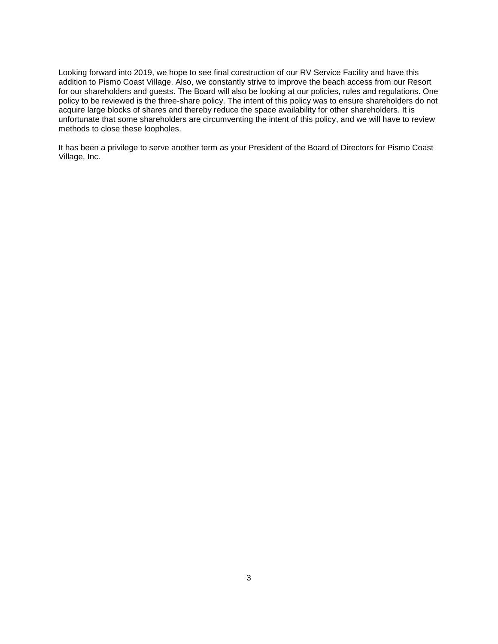Looking forward into 2019, we hope to see final construction of our RV Service Facility and have this addition to Pismo Coast Village. Also, we constantly strive to improve the beach access from our Resort for our shareholders and guests. The Board will also be looking at our policies, rules and regulations. One policy to be reviewed is the three-share policy. The intent of this policy was to ensure shareholders do not acquire large blocks of shares and thereby reduce the space availability for other shareholders. It is unfortunate that some shareholders are circumventing the intent of this policy, and we will have to review methods to close these loopholes.

It has been a privilege to serve another term as your President of the Board of Directors for Pismo Coast Village, Inc.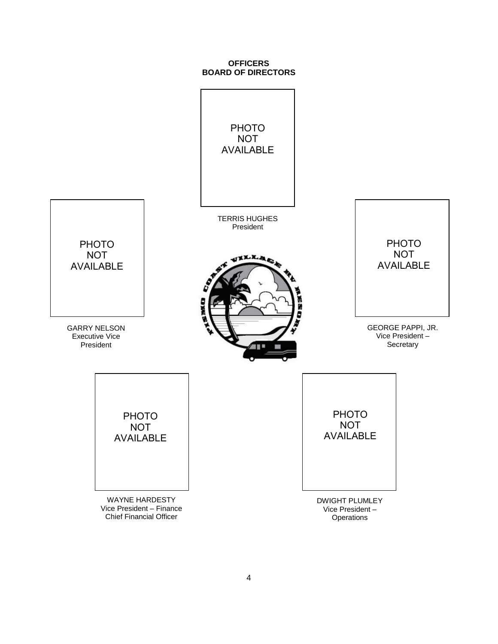# **OFFICERS BOARD OF DIRECTORS**

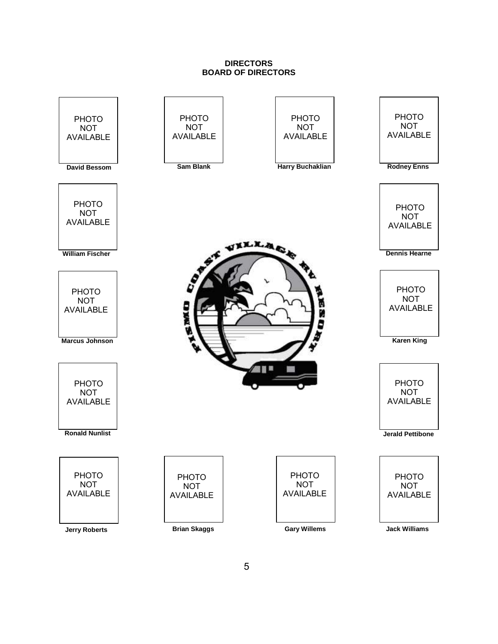# **DIRECTORS BOARD OF DIRECTORS**

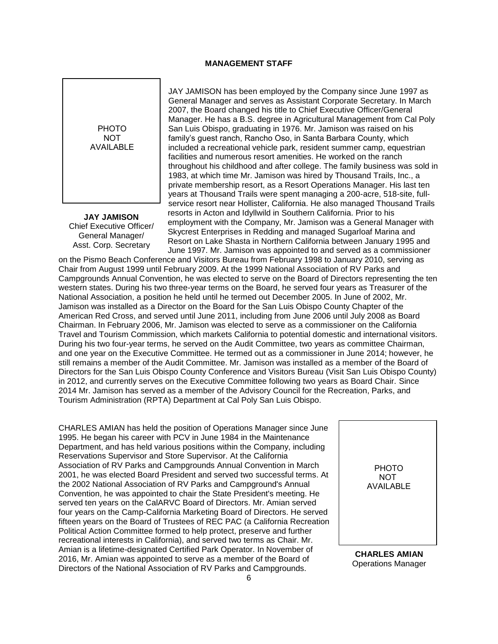# **MANAGEMENT STAFF**



**JAY JAMISON** Chief Executive Officer/ General Manager/ Asst. Corp. Secretary

JAY JAMISON has been employed by the Company since June 1997 as General Manager and serves as Assistant Corporate Secretary. In March 2007, the Board changed his title to Chief Executive Officer/General Manager. He has a B.S. degree in Agricultural Management from Cal Poly San Luis Obispo, graduating in 1976. Mr. Jamison was raised on his family's guest ranch, Rancho Oso, in Santa Barbara County, which included a recreational vehicle park, resident summer camp, equestrian facilities and numerous resort amenities. He worked on the ranch throughout his childhood and after college. The family business was sold in 1983, at which time Mr. Jamison was hired by Thousand Trails, Inc., a private membership resort, as a Resort Operations Manager. His last ten years at Thousand Trails were spent managing a 200-acre, 518-site, fullservice resort near Hollister, California. He also managed Thousand Trails resorts in Acton and Idyllwild in Southern California. Prior to his employment with the Company, Mr. Jamison was a General Manager with Skycrest Enterprises in Redding and managed Sugarloaf Marina and Resort on Lake Shasta in Northern California between January 1995 and June 1997. Mr. Jamison was appointed to and served as a commissioner

on the Pismo Beach Conference and Visitors Bureau from February 1998 to January 2010, serving as<br>On the Pismo Beach Conference and Visitors Bureau from February 1998 to January 2010, serving as Chair from August 1999 until February 2009. At the 1999 National Association of RV Parks and Campgrounds Annual Convention, he was elected to serve on the Board of Directors representing the ten western states. During his two three-year terms on the Board, he served four years as Treasurer of the National Association, a position he held until he termed out December 2005. In June of 2002, Mr. Jamison was installed as a Director on the Board for the San Luis Obispo County Chapter of the American Red Cross, and served until June 2011, including from June 2006 until July 2008 as Board Chairman. In February 2006, Mr. Jamison was elected to serve as a commissioner on the California Travel and Tourism Commission, which markets California to potential domestic and international visitors. During his two four-year terms, he served on the Audit Committee, two years as committee Chairman, and one year on the Executive Committee. He termed out as a commissioner in June 2014; however, he still remains a member of the Audit Committee. Mr. Jamison was installed as a member of the Board of Directors for the San Luis Obispo County Conference and Visitors Bureau (Visit San Luis Obispo County) in 2012, and currently serves on the Executive Committee following two years as Board Chair. Since 2014 Mr. Jamison has served as a member of the Advisory Council for the Recreation, Parks, and Tourism Administration (RPTA) Department at Cal Poly San Luis Obispo.

CHARLES AMIAN has held the position of Operations Manager since June 1995. He began his career with PCV in June 1984 in the Maintenance Department, and has held various positions within the Company, including Reservations Supervisor and Store Supervisor. At the California Association of RV Parks and Campgrounds Annual Convention in March 2001, he was elected Board President and served two successful terms. At the 2002 National Association of RV Parks and Campground's Annual Convention, he was appointed to chair the State President's meeting. He served ten years on the CalARVC Board of Directors. Mr. Amian served four years on the Camp-California Marketing Board of Directors. He served fifteen years on the Board of Trustees of REC PAC (a California Recreation Political Action Committee formed to help protect, preserve and further recreational interests in California), and served two terms as Chair. Mr. Amian is a lifetime-designated Certified Park Operator. In November of 2016, Mr. Amian was appointed to serve as a member of the Board of Directors of the National Association of RV Parks and Campgrounds.



**CHARLES AMIAN** Operations Manager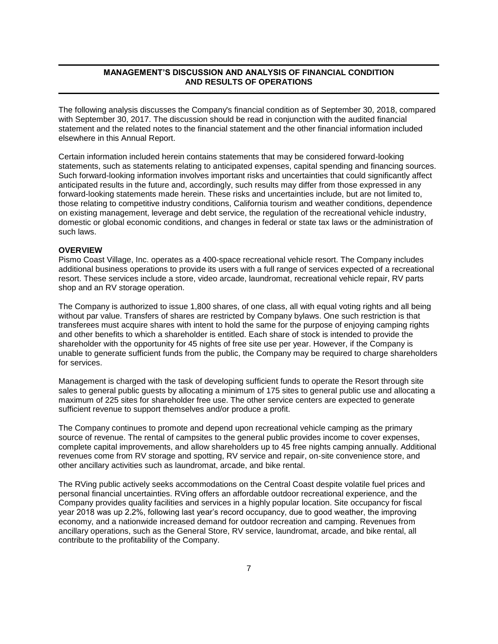# **MANAGEMENT'S DISCUSSION AND ANALYSIS OF FINANCIAL CONDITION AND RESULTS OF OPERATIONS**

The following analysis discusses the Company's financial condition as of September 30, 2018, compared with September 30, 2017. The discussion should be read in conjunction with the audited financial statement and the related notes to the financial statement and the other financial information included elsewhere in this Annual Report.

Certain information included herein contains statements that may be considered forward-looking statements, such as statements relating to anticipated expenses, capital spending and financing sources. Such forward-looking information involves important risks and uncertainties that could significantly affect anticipated results in the future and, accordingly, such results may differ from those expressed in any forward-looking statements made herein. These risks and uncertainties include, but are not limited to, those relating to competitive industry conditions, California tourism and weather conditions, dependence on existing management, leverage and debt service, the regulation of the recreational vehicle industry, domestic or global economic conditions, and changes in federal or state tax laws or the administration of such laws.

# **OVERVIEW**

Pismo Coast Village, Inc. operates as a 400-space recreational vehicle resort. The Company includes additional business operations to provide its users with a full range of services expected of a recreational resort. These services include a store, video arcade, laundromat, recreational vehicle repair, RV parts shop and an RV storage operation.

The Company is authorized to issue 1,800 shares, of one class, all with equal voting rights and all being without par value. Transfers of shares are restricted by Company bylaws. One such restriction is that transferees must acquire shares with intent to hold the same for the purpose of enjoying camping rights and other benefits to which a shareholder is entitled. Each share of stock is intended to provide the shareholder with the opportunity for 45 nights of free site use per year. However, if the Company is unable to generate sufficient funds from the public, the Company may be required to charge shareholders for services.

Management is charged with the task of developing sufficient funds to operate the Resort through site sales to general public guests by allocating a minimum of 175 sites to general public use and allocating a maximum of 225 sites for shareholder free use. The other service centers are expected to generate sufficient revenue to support themselves and/or produce a profit.

The Company continues to promote and depend upon recreational vehicle camping as the primary source of revenue. The rental of campsites to the general public provides income to cover expenses, complete capital improvements, and allow shareholders up to 45 free nights camping annually. Additional revenues come from RV storage and spotting, RV service and repair, on-site convenience store, and other ancillary activities such as laundromat, arcade, and bike rental.

The RVing public actively seeks accommodations on the Central Coast despite volatile fuel prices and personal financial uncertainties. RVing offers an affordable outdoor recreational experience, and the Company provides quality facilities and services in a highly popular location. Site occupancy for fiscal year 2018 was up 2.2%, following last year's record occupancy, due to good weather, the improving economy, and a nationwide increased demand for outdoor recreation and camping. Revenues from ancillary operations, such as the General Store, RV service, laundromat, arcade, and bike rental, all contribute to the profitability of the Company.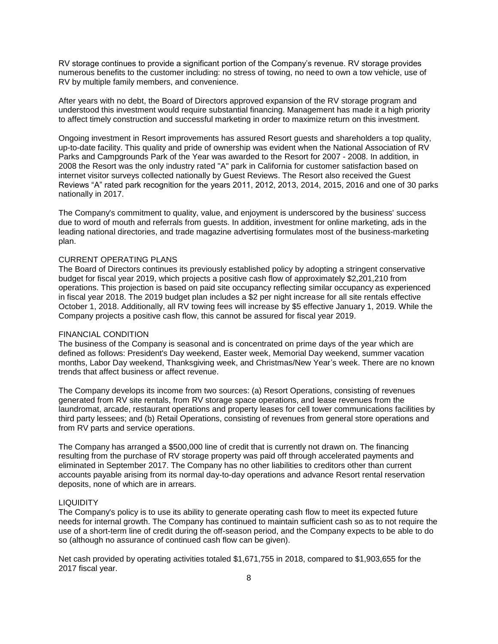RV storage continues to provide a significant portion of the Company's revenue. RV storage provides numerous benefits to the customer including: no stress of towing, no need to own a tow vehicle, use of RV by multiple family members, and convenience.

After years with no debt, the Board of Directors approved expansion of the RV storage program and understood this investment would require substantial financing. Management has made it a high priority to affect timely construction and successful marketing in order to maximize return on this investment.

Ongoing investment in Resort improvements has assured Resort guests and shareholders a top quality, up-to-date facility. This quality and pride of ownership was evident when the National Association of RV Parks and Campgrounds Park of the Year was awarded to the Resort for 2007 - 2008. In addition, in 2008 the Resort was the only industry rated "A" park in California for customer satisfaction based on internet visitor surveys collected nationally by Guest Reviews. The Resort also received the Guest Reviews "A" rated park recognition for the years 2011, 2012, 2013, 2014, 2015, 2016 and one of 30 parks nationally in 2017.

The Company's commitment to quality, value, and enjoyment is underscored by the business' success due to word of mouth and referrals from guests. In addition, investment for online marketing, ads in the leading national directories, and trade magazine advertising formulates most of the business-marketing plan.

# CURRENT OPERATING PLANS

The Board of Directors continues its previously established policy by adopting a stringent conservative budget for fiscal year 2019, which projects a positive cash flow of approximately \$2,201,210 from operations. This projection is based on paid site occupancy reflecting similar occupancy as experienced in fiscal year 2018. The 2019 budget plan includes a \$2 per night increase for all site rentals effective October 1, 2018. Additionally, all RV towing fees will increase by \$5 effective January 1, 2019. While the Company projects a positive cash flow, this cannot be assured for fiscal year 2019.

#### FINANCIAL CONDITION

The business of the Company is seasonal and is concentrated on prime days of the year which are defined as follows: President's Day weekend, Easter week, Memorial Day weekend, summer vacation months, Labor Day weekend, Thanksgiving week, and Christmas/New Year's week. There are no known trends that affect business or affect revenue.

The Company develops its income from two sources: (a) Resort Operations, consisting of revenues generated from RV site rentals, from RV storage space operations, and lease revenues from the laundromat, arcade, restaurant operations and property leases for cell tower communications facilities by third party lessees; and (b) Retail Operations, consisting of revenues from general store operations and from RV parts and service operations.

The Company has arranged a \$500,000 line of credit that is currently not drawn on. The financing resulting from the purchase of RV storage property was paid off through accelerated payments and eliminated in September 2017. The Company has no other liabilities to creditors other than current accounts payable arising from its normal day-to-day operations and advance Resort rental reservation deposits, none of which are in arrears.

#### LIQUIDITY

The Company's policy is to use its ability to generate operating cash flow to meet its expected future needs for internal growth. The Company has continued to maintain sufficient cash so as to not require the use of a short-term line of credit during the off-season period, and the Company expects to be able to do so (although no assurance of continued cash flow can be given).

Net cash provided by operating activities totaled \$1,671,755 in 2018, compared to \$1,903,655 for the 2017 fiscal year.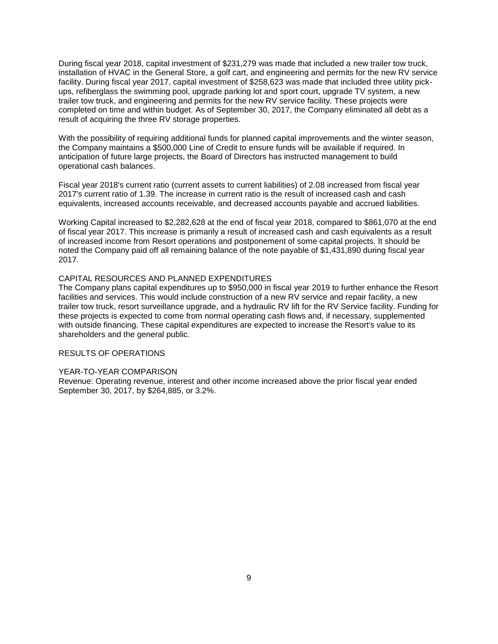During fiscal year 2018, capital investment of \$231,279 was made that included a new trailer tow truck, installation of HVAC in the General Store, a golf cart, and engineering and permits for the new RV service facility. During fiscal year 2017, capital investment of \$258,623 was made that included three utility pickups, refiberglass the swimming pool, upgrade parking lot and sport court, upgrade TV system, a new trailer tow truck, and engineering and permits for the new RV service facility. These projects were completed on time and within budget. As of September 30, 2017, the Company eliminated all debt as a result of acquiring the three RV storage properties.

With the possibility of requiring additional funds for planned capital improvements and the winter season, the Company maintains a \$500,000 Line of Credit to ensure funds will be available if required. In anticipation of future large projects, the Board of Directors has instructed management to build operational cash balances.

Fiscal year 2018's current ratio (current assets to current liabilities) of 2.08 increased from fiscal year 2017's current ratio of 1.39. The increase in current ratio is the result of increased cash and cash equivalents, increased accounts receivable, and decreased accounts payable and accrued liabilities.

Working Capital increased to \$2,282,628 at the end of fiscal year 2018, compared to \$861,070 at the end of fiscal year 2017. This increase is primarily a result of increased cash and cash equivalents as a result of increased income from Resort operations and postponement of some capital projects. It should be noted the Company paid off all remaining balance of the note payable of \$1,431,890 during fiscal year 2017.

# CAPITAL RESOURCES AND PLANNED EXPENDITURES

The Company plans capital expenditures up to \$950,000 in fiscal year 2019 to further enhance the Resort facilities and services. This would include construction of a new RV service and repair facility, a new trailer tow truck, resort surveillance upgrade, and a hydraulic RV lift for the RV Service facility. Funding for these projects is expected to come from normal operating cash flows and, if necessary, supplemented with outside financing. These capital expenditures are expected to increase the Resort's value to its shareholders and the general public.

# RESULTS OF OPERATIONS

#### YEAR-TO-YEAR COMPARISON

Revenue: Operating revenue, interest and other income increased above the prior fiscal year ended September 30, 2017, by \$264,885, or 3.2%.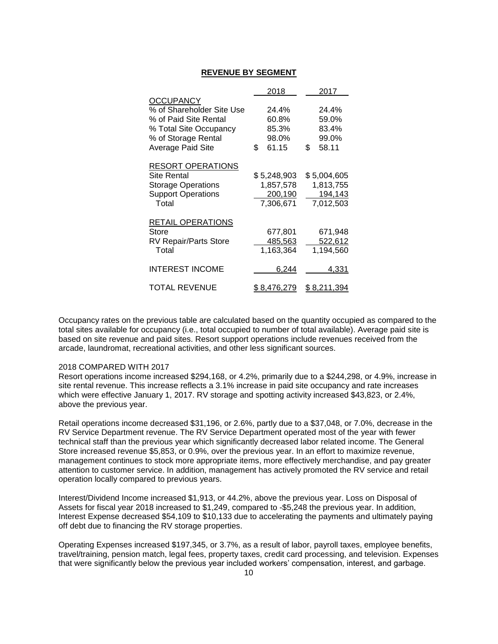# **REVENUE BY SEGMENT**

|                                                                                                                                              | 2018                                             | 2017                                             |
|----------------------------------------------------------------------------------------------------------------------------------------------|--------------------------------------------------|--------------------------------------------------|
| <b>OCCUPANCY</b><br>% of Shareholder Site Use<br>% of Paid Site Rental<br>% Total Site Occupancy<br>% of Storage Rental<br>Average Paid Site | \$<br>24.4%<br>60.8%<br>85.3%<br>98.0%<br>61.15  | \$<br>24.4%<br>59.0%<br>83.4%<br>99.0%<br>58.11  |
| <b>RESORT OPERATIONS</b><br>Site Rental<br><b>Storage Operations</b><br><b>Support Operations</b><br>Total                                   | \$5,248,903<br>1,857,578<br>200,190<br>7,306,671 | \$5,004,605<br>1,813,755<br>194,143<br>7,012,503 |
| <b>RETAIL OPERATIONS</b><br>Store<br><b>RV Repair/Parts Store</b><br>Total                                                                   | 677,801<br>485,563<br>1,163,364                  | 671,948<br>522,612<br>1,194,560                  |
| <b>INTEREST INCOME</b>                                                                                                                       | 6,244                                            | <u>4,331</u>                                     |
| <b>TOTAL REVENUE</b>                                                                                                                         | \$ 8,476,279                                     | <u>\$ 8,211,394</u>                              |

Occupancy rates on the previous table are calculated based on the quantity occupied as compared to the total sites available for occupancy (i.e., total occupied to number of total available). Average paid site is based on site revenue and paid sites. Resort support operations include revenues received from the arcade, laundromat, recreational activities, and other less significant sources.

#### 2018 COMPARED WITH 2017

Resort operations income increased \$294,168, or 4.2%, primarily due to a \$244,298, or 4.9%, increase in site rental revenue. This increase reflects a 3.1% increase in paid site occupancy and rate increases which were effective January 1, 2017. RV storage and spotting activity increased \$43,823, or 2.4%, above the previous year.

Retail operations income decreased \$31,196, or 2.6%, partly due to a \$37,048, or 7.0%, decrease in the RV Service Department revenue. The RV Service Department operated most of the year with fewer technical staff than the previous year which significantly decreased labor related income. The General Store increased revenue \$5,853, or 0.9%, over the previous year. In an effort to maximize revenue, management continues to stock more appropriate items, more effectively merchandise, and pay greater attention to customer service. In addition, management has actively promoted the RV service and retail operation locally compared to previous years.

Interest/Dividend Income increased \$1,913, or 44.2%, above the previous year. Loss on Disposal of Assets for fiscal year 2018 increased to \$1,249, compared to -\$5,248 the previous year. In addition, Interest Expense decreased \$54,109 to \$10,133 due to accelerating the payments and ultimately paying off debt due to financing the RV storage properties.

Operating Expenses increased \$197,345, or 3.7%, as a result of labor, payroll taxes, employee benefits, travel/training, pension match, legal fees, property taxes, credit card processing, and television. Expenses that were significantly below the previous year included workers' compensation, interest, and garbage.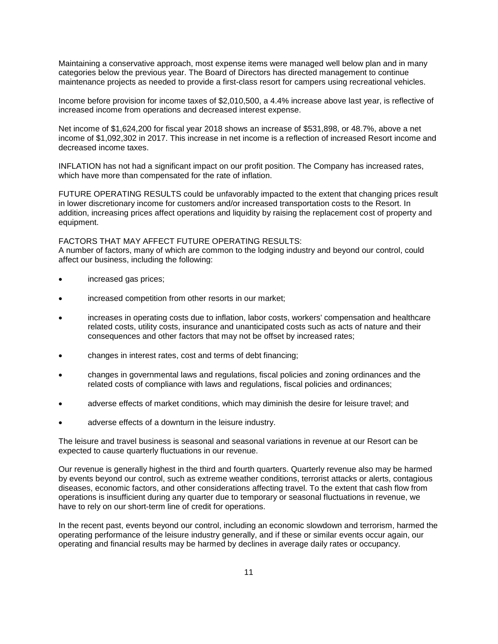Maintaining a conservative approach, most expense items were managed well below plan and in many categories below the previous year. The Board of Directors has directed management to continue maintenance projects as needed to provide a first-class resort for campers using recreational vehicles.

Income before provision for income taxes of \$2,010,500, a 4.4% increase above last year, is reflective of increased income from operations and decreased interest expense.

Net income of \$1,624,200 for fiscal year 2018 shows an increase of \$531,898, or 48.7%, above a net income of \$1,092,302 in 2017. This increase in net income is a reflection of increased Resort income and decreased income taxes.

INFLATION has not had a significant impact on our profit position. The Company has increased rates, which have more than compensated for the rate of inflation.

FUTURE OPERATING RESULTS could be unfavorably impacted to the extent that changing prices result in lower discretionary income for customers and/or increased transportation costs to the Resort. In addition, increasing prices affect operations and liquidity by raising the replacement cost of property and equipment.

# FACTORS THAT MAY AFFECT FUTURE OPERATING RESULTS:

A number of factors, many of which are common to the lodging industry and beyond our control, could affect our business, including the following:

- increased gas prices;
- increased competition from other resorts in our market;
- increases in operating costs due to inflation, labor costs, workers' compensation and healthcare related costs, utility costs, insurance and unanticipated costs such as acts of nature and their consequences and other factors that may not be offset by increased rates;
- changes in interest rates, cost and terms of debt financing;
- changes in governmental laws and regulations, fiscal policies and zoning ordinances and the related costs of compliance with laws and regulations, fiscal policies and ordinances;
- adverse effects of market conditions, which may diminish the desire for leisure travel; and
- adverse effects of a downturn in the leisure industry.

The leisure and travel business is seasonal and seasonal variations in revenue at our Resort can be expected to cause quarterly fluctuations in our revenue.

Our revenue is generally highest in the third and fourth quarters. Quarterly revenue also may be harmed by events beyond our control, such as extreme weather conditions, terrorist attacks or alerts, contagious diseases, economic factors, and other considerations affecting travel. To the extent that cash flow from operations is insufficient during any quarter due to temporary or seasonal fluctuations in revenue, we have to rely on our short-term line of credit for operations.

In the recent past, events beyond our control, including an economic slowdown and terrorism, harmed the operating performance of the leisure industry generally, and if these or similar events occur again, our operating and financial results may be harmed by declines in average daily rates or occupancy.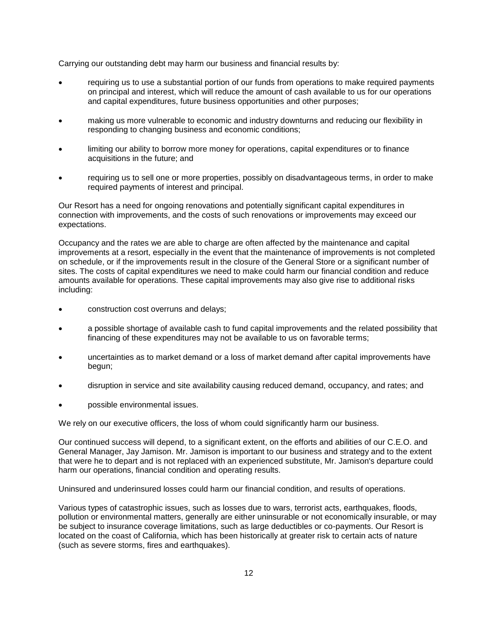Carrying our outstanding debt may harm our business and financial results by:

- requiring us to use a substantial portion of our funds from operations to make required payments on principal and interest, which will reduce the amount of cash available to us for our operations and capital expenditures, future business opportunities and other purposes;
- making us more vulnerable to economic and industry downturns and reducing our flexibility in responding to changing business and economic conditions;
- limiting our ability to borrow more money for operations, capital expenditures or to finance acquisitions in the future; and
- requiring us to sell one or more properties, possibly on disadvantageous terms, in order to make required payments of interest and principal.

Our Resort has a need for ongoing renovations and potentially significant capital expenditures in connection with improvements, and the costs of such renovations or improvements may exceed our expectations.

Occupancy and the rates we are able to charge are often affected by the maintenance and capital improvements at a resort, especially in the event that the maintenance of improvements is not completed on schedule, or if the improvements result in the closure of the General Store or a significant number of sites. The costs of capital expenditures we need to make could harm our financial condition and reduce amounts available for operations. These capital improvements may also give rise to additional risks including:

- construction cost overruns and delays;
- a possible shortage of available cash to fund capital improvements and the related possibility that financing of these expenditures may not be available to us on favorable terms;
- uncertainties as to market demand or a loss of market demand after capital improvements have begun;
- disruption in service and site availability causing reduced demand, occupancy, and rates; and
- possible environmental issues.

We rely on our executive officers, the loss of whom could significantly harm our business.

Our continued success will depend, to a significant extent, on the efforts and abilities of our C.E.O. and General Manager, Jay Jamison. Mr. Jamison is important to our business and strategy and to the extent that were he to depart and is not replaced with an experienced substitute, Mr. Jamison's departure could harm our operations, financial condition and operating results.

Uninsured and underinsured losses could harm our financial condition, and results of operations.

Various types of catastrophic issues, such as losses due to wars, terrorist acts, earthquakes, floods, pollution or environmental matters, generally are either uninsurable or not economically insurable, or may be subject to insurance coverage limitations, such as large deductibles or co-payments. Our Resort is located on the coast of California, which has been historically at greater risk to certain acts of nature (such as severe storms, fires and earthquakes).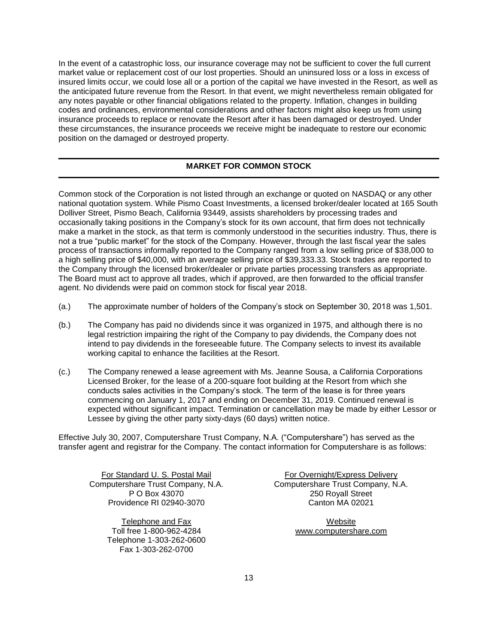In the event of a catastrophic loss, our insurance coverage may not be sufficient to cover the full current market value or replacement cost of our lost properties. Should an uninsured loss or a loss in excess of insured limits occur, we could lose all or a portion of the capital we have invested in the Resort, as well as the anticipated future revenue from the Resort. In that event, we might nevertheless remain obligated for any notes payable or other financial obligations related to the property. Inflation, changes in building codes and ordinances, environmental considerations and other factors might also keep us from using insurance proceeds to replace or renovate the Resort after it has been damaged or destroyed. Under these circumstances, the insurance proceeds we receive might be inadequate to restore our economic position on the damaged or destroyed property.

### **MARKET FOR COMMON STOCK**

Common stock of the Corporation is not listed through an exchange or quoted on NASDAQ or any other national quotation system. While Pismo Coast Investments, a licensed broker/dealer located at 165 South Dolliver Street, Pismo Beach, California 93449, assists shareholders by processing trades and occasionally taking positions in the Company's stock for its own account, that firm does not technically make a market in the stock, as that term is commonly understood in the securities industry. Thus, there is not a true "public market" for the stock of the Company. However, through the last fiscal year the sales process of transactions informally reported to the Company ranged from a low selling price of \$38,000 to a high selling price of \$40,000, with an average selling price of \$39,333.33. Stock trades are reported to the Company through the licensed broker/dealer or private parties processing transfers as appropriate. The Board must act to approve all trades, which if approved, are then forwarded to the official transfer agent. No dividends were paid on common stock for fiscal year 2018.

- (a.) The approximate number of holders of the Company's stock on September 30, 2018 was 1,501.
- (b.) The Company has paid no dividends since it was organized in 1975, and although there is no legal restriction impairing the right of the Company to pay dividends, the Company does not intend to pay dividends in the foreseeable future. The Company selects to invest its available working capital to enhance the facilities at the Resort.
- (c.) The Company renewed a lease agreement with Ms. Jeanne Sousa, a California Corporations Licensed Broker, for the lease of a 200-square foot building at the Resort from which she conducts sales activities in the Company's stock. The term of the lease is for three years commencing on January 1, 2017 and ending on December 31, 2019. Continued renewal is expected without significant impact. Termination or cancellation may be made by either Lessor or Lessee by giving the other party sixty-days (60 days) written notice.

Effective July 30, 2007, Computershare Trust Company, N.A. ("Computershare") has served as the transfer agent and registrar for the Company. The contact information for Computershare is as follows:

Providence RI 02940-3070 Canton MA 02021

Telephone and Fax Website Toll free 1-800-962-4284 [www.computershare.com](http://www.computershare.com/) Telephone 1-303-262-0600 Fax 1-303-262-0700

For Standard U. S. Postal Mail For Overnight/Express Delivery Computershare Trust Company, N.A. Computershare Trust Company, N.A. P O Box 43070 250 Royall Street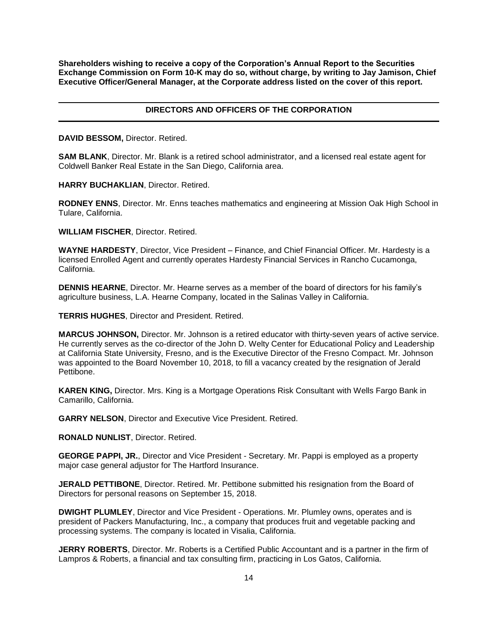**Shareholders wishing to receive a copy of the Corporation's Annual Report to the Securities Exchange Commission on Form 10-K may do so, without charge, by writing to Jay Jamison, Chief Executive Officer/General Manager, at the Corporate address listed on the cover of this report.**

#### **DIRECTORS AND OFFICERS OF THE CORPORATION**

**DAVID BESSOM,** Director. Retired.

**SAM BLANK**, Director. Mr. Blank is a retired school administrator, and a licensed real estate agent for Coldwell Banker Real Estate in the San Diego, California area.

**HARRY BUCHAKLIAN**, Director. Retired.

**RODNEY ENNS**, Director. Mr. Enns teaches mathematics and engineering at Mission Oak High School in Tulare, California.

**WILLIAM FISCHER**, Director. Retired.

**WAYNE HARDESTY**, Director, Vice President – Finance, and Chief Financial Officer. Mr. Hardesty is a licensed Enrolled Agent and currently operates Hardesty Financial Services in Rancho Cucamonga, California.

**DENNIS HEARNE**, Director. Mr. Hearne serves as a member of the board of directors for his family's agriculture business, L.A. Hearne Company, located in the Salinas Valley in California.

**TERRIS HUGHES**, Director and President. Retired.

**MARCUS JOHNSON,** Director. Mr. Johnson is a retired educator with thirty-seven years of active service. He currently serves as the co-director of the John D. Welty Center for Educational Policy and Leadership at California State University, Fresno, and is the Executive Director of the Fresno Compact. Mr. Johnson was appointed to the Board November 10, 2018, to fill a vacancy created by the resignation of Jerald Pettibone.

**KAREN KING,** Director. Mrs. King is a Mortgage Operations Risk Consultant with Wells Fargo Bank in Camarillo, California.

**GARRY NELSON**, Director and Executive Vice President. Retired.

**RONALD NUNLIST**, Director. Retired.

**GEORGE PAPPI, JR.**, Director and Vice President - Secretary. Mr. Pappi is employed as a property major case general adjustor for The Hartford Insurance.

**JERALD PETTIBONE**, Director. Retired. Mr. Pettibone submitted his resignation from the Board of Directors for personal reasons on September 15, 2018.

**DWIGHT PLUMLEY**, Director and Vice President - Operations. Mr. Plumley owns, operates and is president of Packers Manufacturing, Inc., a company that produces fruit and vegetable packing and processing systems. The company is located in Visalia, California.

**JERRY ROBERTS**, Director. Mr. Roberts is a Certified Public Accountant and is a partner in the firm of Lampros & Roberts, a financial and tax consulting firm, practicing in Los Gatos, California.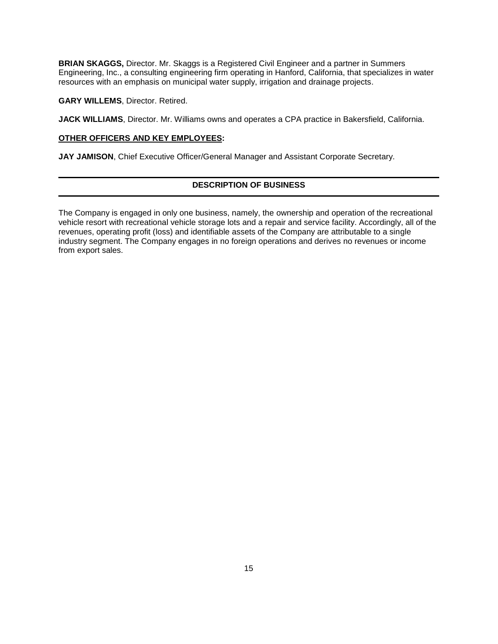**BRIAN SKAGGS,** Director. Mr. Skaggs is a Registered Civil Engineer and a partner in Summers Engineering, Inc., a consulting engineering firm operating in Hanford, California, that specializes in water resources with an emphasis on municipal water supply, irrigation and drainage projects.

**GARY WILLEMS**, Director. Retired.

**JACK WILLIAMS**, Director. Mr. Williams owns and operates a CPA practice in Bakersfield, California.

### **OTHER OFFICERS AND KEY EMPLOYEES:**

**JAY JAMISON**, Chief Executive Officer/General Manager and Assistant Corporate Secretary.

# **DESCRIPTION OF BUSINESS**

The Company is engaged in only one business, namely, the ownership and operation of the recreational vehicle resort with recreational vehicle storage lots and a repair and service facility. Accordingly, all of the revenues, operating profit (loss) and identifiable assets of the Company are attributable to a single industry segment. The Company engages in no foreign operations and derives no revenues or income from export sales.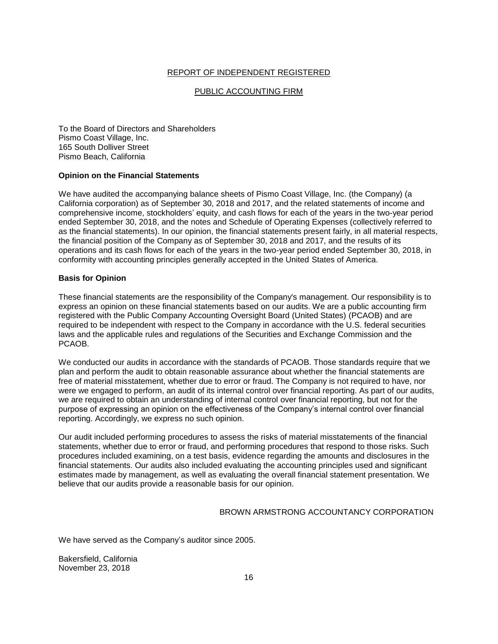### REPORT OF INDEPENDENT REGISTERED

### PUBLIC ACCOUNTING FIRM

To the Board of Directors and Shareholders Pismo Coast Village, Inc. 165 South Dolliver Street Pismo Beach, California

### **Opinion on the Financial Statements**

We have audited the accompanying balance sheets of Pismo Coast Village, Inc. (the Company) (a California corporation) as of September 30, 2018 and 2017, and the related statements of income and comprehensive income, stockholders' equity, and cash flows for each of the years in the two-year period ended September 30, 2018, and the notes and Schedule of Operating Expenses (collectively referred to as the financial statements). In our opinion, the financial statements present fairly, in all material respects, the financial position of the Company as of September 30, 2018 and 2017, and the results of its operations and its cash flows for each of the years in the two-year period ended September 30, 2018, in conformity with accounting principles generally accepted in the United States of America.

#### **Basis for Opinion**

These financial statements are the responsibility of the Company's management. Our responsibility is to express an opinion on these financial statements based on our audits. We are a public accounting firm registered with the Public Company Accounting Oversight Board (United States) (PCAOB) and are required to be independent with respect to the Company in accordance with the U.S. federal securities laws and the applicable rules and regulations of the Securities and Exchange Commission and the PCAOB.

We conducted our audits in accordance with the standards of PCAOB. Those standards require that we plan and perform the audit to obtain reasonable assurance about whether the financial statements are free of material misstatement, whether due to error or fraud. The Company is not required to have, nor were we engaged to perform, an audit of its internal control over financial reporting. As part of our audits, we are required to obtain an understanding of internal control over financial reporting, but not for the purpose of expressing an opinion on the effectiveness of the Company's internal control over financial reporting. Accordingly, we express no such opinion.

Our audit included performing procedures to assess the risks of material misstatements of the financial statements, whether due to error or fraud, and performing procedures that respond to those risks. Such procedures included examining, on a test basis, evidence regarding the amounts and disclosures in the financial statements. Our audits also included evaluating the accounting principles used and significant estimates made by management, as well as evaluating the overall financial statement presentation. We believe that our audits provide a reasonable basis for our opinion.

### BROWN ARMSTRONG ACCOUNTANCY CORPORATION

We have served as the Company's auditor since 2005.

Bakersfield, California November 23, 2018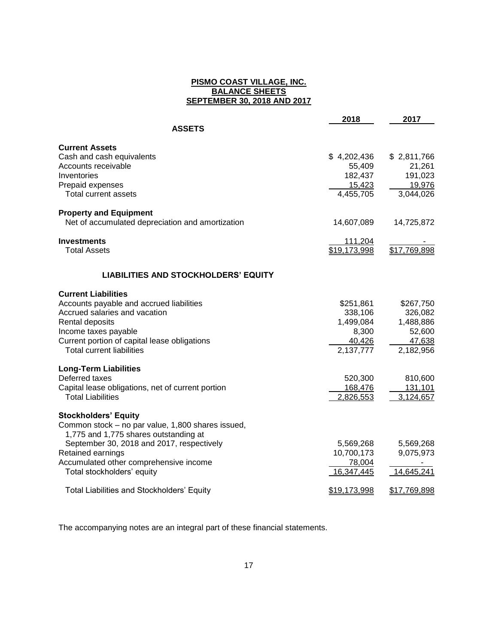### **PISMO COAST VILLAGE, INC. BALANCE SHEETS SEPTEMBER 30, 2018 AND 2017**

|                                                   | 2018         | 2017         |
|---------------------------------------------------|--------------|--------------|
| <b>ASSETS</b>                                     |              |              |
| <b>Current Assets</b>                             |              |              |
| Cash and cash equivalents                         | \$4,202,436  | \$2,811,766  |
| Accounts receivable                               | 55,409       | 21,261       |
| Inventories                                       | 182,437      | 191,023      |
| Prepaid expenses                                  | 15,423       | 19,976       |
| <b>Total current assets</b>                       | 4,455,705    | 3,044,026    |
| <b>Property and Equipment</b>                     |              |              |
| Net of accumulated depreciation and amortization  | 14,607,089   | 14,725,872   |
| <b>Investments</b>                                | 111,204      |              |
| <b>Total Assets</b>                               | \$19,173,998 | \$17,769,898 |
| <b>LIABILITIES AND STOCKHOLDERS' EQUITY</b>       |              |              |
| <b>Current Liabilities</b>                        |              |              |
| Accounts payable and accrued liabilities          | \$251,861    | \$267,750    |
| Accrued salaries and vacation                     | 338,106      | 326,082      |
| Rental deposits                                   | 1,499,084    | 1,488,886    |
| Income taxes payable                              | 8,300        | 52,600       |
| Current portion of capital lease obligations      | 40,426       | 47,638       |
| <b>Total current liabilities</b>                  | 2,137,777    | 2,182,956    |
| <b>Long-Term Liabilities</b>                      |              |              |
| Deferred taxes                                    | 520,300      | 810,600      |
| Capital lease obligations, net of current portion | 168,476      | 131,101      |
| <b>Total Liabilities</b>                          | 2,826,553    | 3,124,657    |
| <b>Stockholders' Equity</b>                       |              |              |
| Common stock - no par value, 1,800 shares issued, |              |              |
| 1,775 and 1,775 shares outstanding at             |              |              |
| September 30, 2018 and 2017, respectively         | 5,569,268    | 5,569,268    |
| Retained earnings                                 | 10,700,173   | 9,075,973    |
| Accumulated other comprehensive income            | 78,004       |              |
| Total stockholders' equity                        | 16,347,445   | 14,645,241   |
| Total Liabilities and Stockholders' Equity        | \$19,173,998 | \$17,769,898 |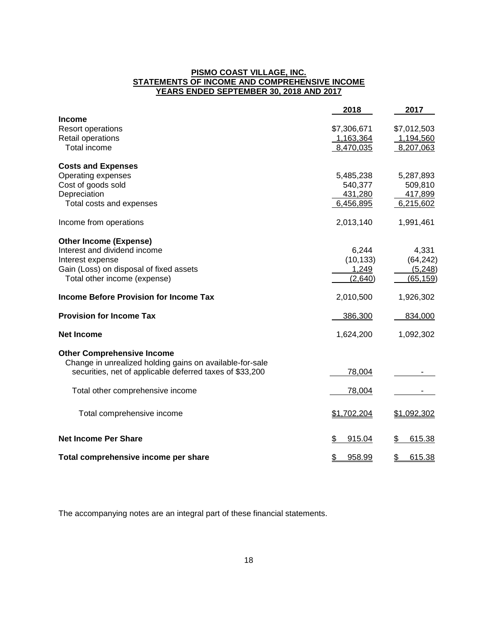### **PISMO COAST VILLAGE, INC. STATEMENTS OF INCOME AND COMPREHENSIVE INCOME YEARS ENDED SEPTEMBER 30, 2018 AND 2017**

|                                                          | 2018         | 2017         |
|----------------------------------------------------------|--------------|--------------|
| <b>Income</b>                                            |              |              |
| Resort operations                                        | \$7,306,671  | \$7,012,503  |
| Retail operations                                        | 1,163,364    | 1,194,560    |
| Total income                                             | 8,470,035    | 8,207,063    |
| <b>Costs and Expenses</b>                                |              |              |
| Operating expenses                                       | 5,485,238    | 5,287,893    |
| Cost of goods sold                                       | 540,377      | 509,810      |
| Depreciation                                             | 431,280      | 417,899      |
| Total costs and expenses                                 | 6,456,895    | 6,215,602    |
| Income from operations                                   | 2,013,140    | 1,991,461    |
| <b>Other Income (Expense)</b>                            |              |              |
| Interest and dividend income                             | 6,244        | 4,331        |
| Interest expense                                         | (10, 133)    | (64, 242)    |
| Gain (Loss) on disposal of fixed assets                  | 1,249        | (5, 248)     |
| Total other income (expense)                             | (2,640)      | (65, 159)    |
| <b>Income Before Provision for Income Tax</b>            | 2,010,500    | 1,926,302    |
| <b>Provision for Income Tax</b>                          | 386,300      | 834,000      |
| <b>Net Income</b>                                        | 1,624,200    | 1,092,302    |
| <b>Other Comprehensive Income</b>                        |              |              |
| Change in unrealized holding gains on available-for-sale |              |              |
| securities, net of applicable deferred taxes of \$33,200 | 78,004       |              |
| Total other comprehensive income                         | 78,004       |              |
| Total comprehensive income                               | \$1,702,204  | \$1,092,302  |
| <b>Net Income Per Share</b>                              | \$<br>915.04 | 615.38<br>\$ |
| Total comprehensive income per share                     | \$<br>958.99 | \$<br>615.38 |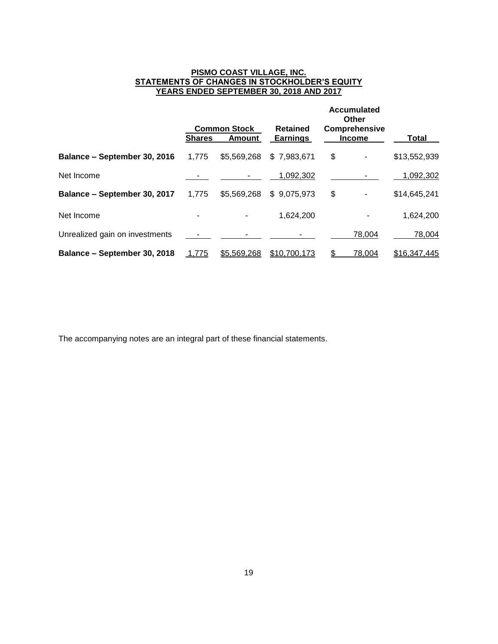### **PISMO COAST VILLAGE, INC. STATEMENTS OF CHANGES IN STOCKHOLDER'S EQUITY YEARS ENDED SEPTEMBER 30, 2018 AND 2017**

|                                | <b>Shares</b> | <b>Common Stock</b><br>Amount | <b>Retained</b><br><b>Earnings</b> | <b>Accumulated</b><br>Other<br>Comprehensive<br><b>Income</b> | Total        |
|--------------------------------|---------------|-------------------------------|------------------------------------|---------------------------------------------------------------|--------------|
| Balance - September 30, 2016   | 1.775         | \$5,569,268                   | \$7,983,671                        | \$                                                            | \$13,552,939 |
| Net Income                     |               |                               | 1,092,302                          |                                                               | 1,092,302    |
| Balance - September 30, 2017   | 1,775         | \$5,569,268                   | \$9,075,973                        | \$                                                            | \$14,645,241 |
| Net Income                     |               |                               | 1,624,200                          |                                                               | 1,624,200    |
| Unrealized gain on investments |               |                               |                                    | 78,004                                                        | 78,004       |
| Balance – September 30, 2018   | <u>1,775</u>  | \$5,569,268                   | \$10,700,173                       | 78,004                                                        | \$16,347,445 |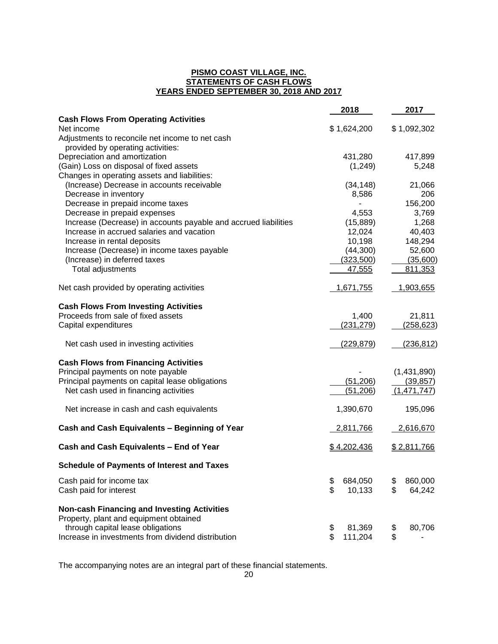### **PISMO COAST VILLAGE, INC. STATEMENTS OF CASH FLOWS YEARS ENDED SEPTEMBER 30, 2018 AND 2017**

|                                                                 | 2018          | 2017             |
|-----------------------------------------------------------------|---------------|------------------|
| <b>Cash Flows From Operating Activities</b>                     |               |                  |
| Net income                                                      | \$1,624,200   | \$1,092,302      |
| Adjustments to reconcile net income to net cash                 |               |                  |
| provided by operating activities:                               |               |                  |
| Depreciation and amortization                                   | 431,280       | 417,899          |
| (Gain) Loss on disposal of fixed assets                         | (1,249)       | 5,248            |
| Changes in operating assets and liabilities:                    |               |                  |
| (Increase) Decrease in accounts receivable                      | (34, 148)     | 21,066           |
| Decrease in inventory                                           | 8,586         | 206              |
| Decrease in prepaid income taxes                                |               | 156,200          |
| Decrease in prepaid expenses                                    | 4,553         | 3,769            |
| Increase (Decrease) in accounts payable and accrued liabilities | (15, 889)     | 1,268            |
| Increase in accrued salaries and vacation                       | 12,024        | 40,403           |
| Increase in rental deposits                                     | 10,198        | 148,294          |
| Increase (Decrease) in income taxes payable                     | (44,300)      | 52,600           |
| (Increase) in deferred taxes                                    | (323,500)     | (35,600)         |
| Total adjustments                                               | 47,555        | 811,353          |
| Net cash provided by operating activities                       | 1,671,755     | 1,903,655        |
| <b>Cash Flows From Investing Activities</b>                     |               |                  |
| Proceeds from sale of fixed assets                              | 1,400         | 21,811           |
| Capital expenditures                                            | (231, 279)    | <u>(258,623)</u> |
| Net cash used in investing activities                           | (229, 879)    | (236, 812)       |
| <b>Cash Flows from Financing Activities</b>                     |               |                  |
| Principal payments on note payable                              |               | (1,431,890)      |
| Principal payments on capital lease obligations                 | (51, 206)     | (39, 857)        |
| Net cash used in financing activities                           | (51, 206)     | (1,471,747)      |
| Net increase in cash and cash equivalents                       | 1,390,670     | 195,096          |
| Cash and Cash Equivalents - Beginning of Year                   | 2,811,766     | 2,616,670        |
| Cash and Cash Equivalents - End of Year                         | \$4,202,436   | \$2,811,766      |
| <b>Schedule of Payments of Interest and Taxes</b>               |               |                  |
| Cash paid for income tax                                        | \$<br>684,050 | 860,000<br>\$    |
| Cash paid for interest                                          | \$<br>10,133  | \$<br>64,242     |
| <b>Non-cash Financing and Investing Activities</b>              |               |                  |
| Property, plant and equipment obtained                          |               |                  |
| through capital lease obligations                               | \$<br>81,369  | \$<br>80,706     |
| Increase in investments from dividend distribution              | \$<br>111,204 | \$               |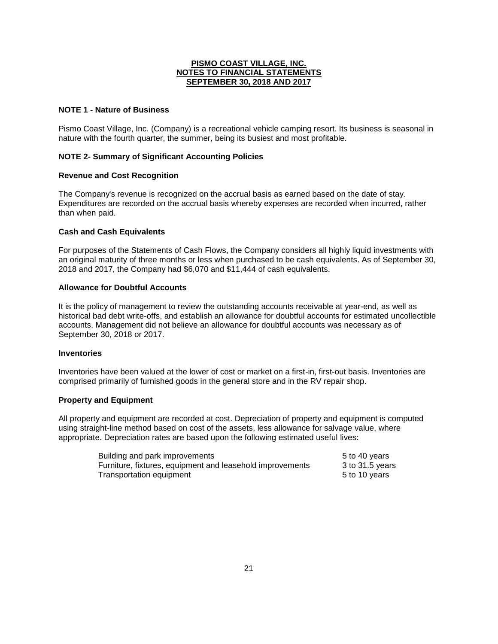### **NOTE 1 - Nature of Business**

Pismo Coast Village, Inc. (Company) is a recreational vehicle camping resort. Its business is seasonal in nature with the fourth quarter, the summer, being its busiest and most profitable.

### **NOTE 2- Summary of Significant Accounting Policies**

#### **Revenue and Cost Recognition**

The Company's revenue is recognized on the accrual basis as earned based on the date of stay. Expenditures are recorded on the accrual basis whereby expenses are recorded when incurred, rather than when paid.

### **Cash and Cash Equivalents**

For purposes of the Statements of Cash Flows, the Company considers all highly liquid investments with an original maturity of three months or less when purchased to be cash equivalents. As of September 30, 2018 and 2017, the Company had \$6,070 and \$11,444 of cash equivalents.

### **Allowance for Doubtful Accounts**

It is the policy of management to review the outstanding accounts receivable at year-end, as well as historical bad debt write-offs, and establish an allowance for doubtful accounts for estimated uncollectible accounts. Management did not believe an allowance for doubtful accounts was necessary as of September 30, 2018 or 2017.

### **Inventories**

Inventories have been valued at the lower of cost or market on a first-in, first-out basis. Inventories are comprised primarily of furnished goods in the general store and in the RV repair shop.

#### **Property and Equipment**

All property and equipment are recorded at cost. Depreciation of property and equipment is computed using straight-line method based on cost of the assets, less allowance for salvage value, where appropriate. Depreciation rates are based upon the following estimated useful lives:

| Building and park improvements                            | 5 to 40 years   |
|-----------------------------------------------------------|-----------------|
| Furniture, fixtures, equipment and leasehold improvements | 3 to 31.5 years |
| Transportation equipment                                  | 5 to 10 years   |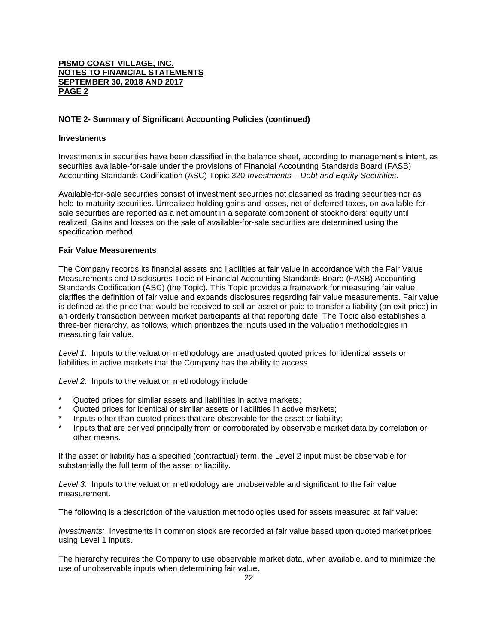### **NOTE 2- Summary of Significant Accounting Policies (continued)**

### **Investments**

Investments in securities have been classified in the balance sheet, according to management's intent, as securities available-for-sale under the provisions of Financial Accounting Standards Board (FASB) Accounting Standards Codification (ASC) Topic 320 *Investments – Debt and Equity Securities*.

Available-for-sale securities consist of investment securities not classified as trading securities nor as held-to-maturity securities. Unrealized holding gains and losses, net of deferred taxes, on available-forsale securities are reported as a net amount in a separate component of stockholders' equity until realized. Gains and losses on the sale of available-for-sale securities are determined using the specification method.

# **Fair Value Measurements**

The Company records its financial assets and liabilities at fair value in accordance with the Fair Value Measurements and Disclosures Topic of Financial Accounting Standards Board (FASB) Accounting Standards Codification (ASC) (the Topic). This Topic provides a framework for measuring fair value, clarifies the definition of fair value and expands disclosures regarding fair value measurements. Fair value is defined as the price that would be received to sell an asset or paid to transfer a liability (an exit price) in an orderly transaction between market participants at that reporting date. The Topic also establishes a three-tier hierarchy, as follows, which prioritizes the inputs used in the valuation methodologies in measuring fair value.

*Level 1:* Inputs to the valuation methodology are unadjusted quoted prices for identical assets or liabilities in active markets that the Company has the ability to access.

*Level 2:* Inputs to the valuation methodology include:

- Quoted prices for similar assets and liabilities in active markets;
- Quoted prices for identical or similar assets or liabilities in active markets;
- Inputs other than quoted prices that are observable for the asset or liability;
- Inputs that are derived principally from or corroborated by observable market data by correlation or other means.

If the asset or liability has a specified (contractual) term, the Level 2 input must be observable for substantially the full term of the asset or liability.

*Level 3:* Inputs to the valuation methodology are unobservable and significant to the fair value measurement.

The following is a description of the valuation methodologies used for assets measured at fair value:

*Investments:* Investments in common stock are recorded at fair value based upon quoted market prices using Level 1 inputs.

The hierarchy requires the Company to use observable market data, when available, and to minimize the use of unobservable inputs when determining fair value.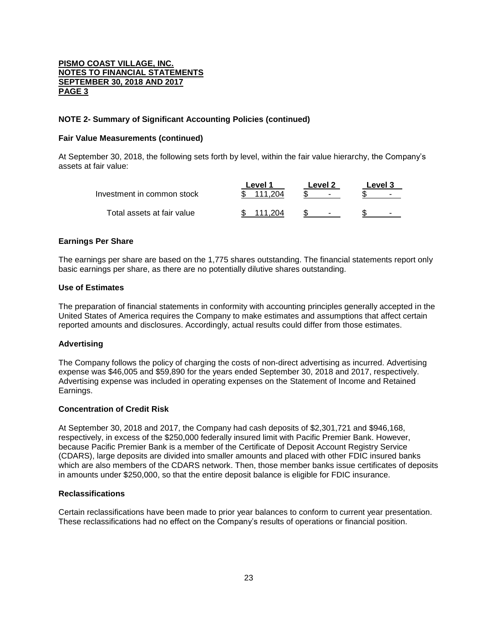### **NOTE 2- Summary of Significant Accounting Policies (continued)**

#### **Fair Value Measurements (continued)**

At September 30, 2018, the following sets forth by level, within the fair value hierarchy, the Company's assets at fair value:

|                            | Level 1 | Level 2        | Level 3 |
|----------------------------|---------|----------------|---------|
| Investment in common stock | 111 204 | $\blacksquare$ |         |
| Total assets at fair value | 111 204 | ٠              | -       |

# **Earnings Per Share**

The earnings per share are based on the 1,775 shares outstanding. The financial statements report only basic earnings per share, as there are no potentially dilutive shares outstanding.

### **Use of Estimates**

The preparation of financial statements in conformity with accounting principles generally accepted in the United States of America requires the Company to make estimates and assumptions that affect certain reported amounts and disclosures. Accordingly, actual results could differ from those estimates.

### **Advertising**

The Company follows the policy of charging the costs of non-direct advertising as incurred. Advertising expense was \$46,005 and \$59,890 for the years ended September 30, 2018 and 2017, respectively. Advertising expense was included in operating expenses on the Statement of Income and Retained Earnings.

#### **Concentration of Credit Risk**

At September 30, 2018 and 2017, the Company had cash deposits of \$2,301,721 and \$946,168, respectively, in excess of the \$250,000 federally insured limit with Pacific Premier Bank. However, because Pacific Premier Bank is a member of the Certificate of Deposit Account Registry Service (CDARS), large deposits are divided into smaller amounts and placed with other FDIC insured banks which are also members of the CDARS network. Then, those member banks issue certificates of deposits in amounts under \$250,000, so that the entire deposit balance is eligible for FDIC insurance.

#### **Reclassifications**

Certain reclassifications have been made to prior year balances to conform to current year presentation. These reclassifications had no effect on the Company's results of operations or financial position.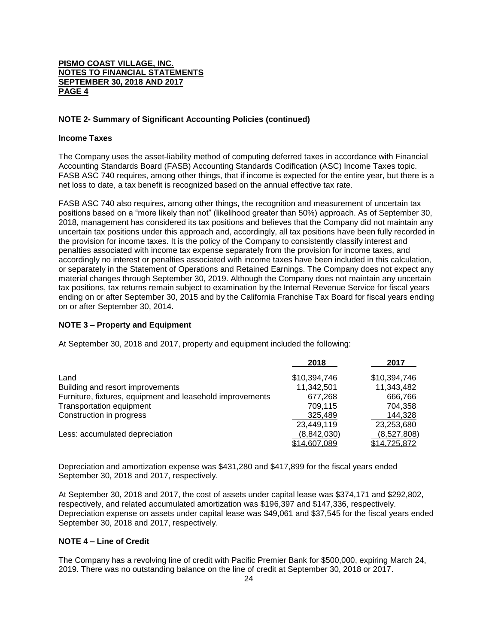### **NOTE 2- Summary of Significant Accounting Policies (continued)**

### **Income Taxes**

The Company uses the asset-liability method of computing deferred taxes in accordance with Financial Accounting Standards Board (FASB) Accounting Standards Codification (ASC) Income Taxes topic. FASB ASC 740 requires, among other things, that if income is expected for the entire year, but there is a net loss to date, a tax benefit is recognized based on the annual effective tax rate.

FASB ASC 740 also requires, among other things, the recognition and measurement of uncertain tax positions based on a "more likely than not" (likelihood greater than 50%) approach. As of September 30, 2018, management has considered its tax positions and believes that the Company did not maintain any uncertain tax positions under this approach and, accordingly, all tax positions have been fully recorded in the provision for income taxes. It is the policy of the Company to consistently classify interest and penalties associated with income tax expense separately from the provision for income taxes, and accordingly no interest or penalties associated with income taxes have been included in this calculation, or separately in the Statement of Operations and Retained Earnings. The Company does not expect any material changes through September 30, 2019. Although the Company does not maintain any uncertain tax positions, tax returns remain subject to examination by the Internal Revenue Service for fiscal years ending on or after September 30, 2015 and by the California Franchise Tax Board for fiscal years ending on or after September 30, 2014.

#### **NOTE 3 – Property and Equipment**

At September 30, 2018 and 2017, property and equipment included the following:

|                                                           | 2018         | 2017         |
|-----------------------------------------------------------|--------------|--------------|
| Land                                                      | \$10,394,746 | \$10,394,746 |
| Building and resort improvements                          | 11,342,501   | 11,343,482   |
| Furniture, fixtures, equipment and leasehold improvements | 677.268      | 666,766      |
| Transportation equipment                                  | 709.115      | 704.358      |
| Construction in progress                                  | 325,489      | 144,328      |
|                                                           | 23,449,119   | 23,253,680   |
| Less: accumulated depreciation                            | (8,842,030)  | (8,527,808)  |
|                                                           | \$14,607,089 | \$14,725,872 |

Depreciation and amortization expense was \$431,280 and \$417,899 for the fiscal years ended September 30, 2018 and 2017, respectively.

At September 30, 2018 and 2017, the cost of assets under capital lease was \$374,171 and \$292,802, respectively, and related accumulated amortization was \$196,397 and \$147,336, respectively. Depreciation expense on assets under capital lease was \$49,061 and \$37,545 for the fiscal years ended September 30, 2018 and 2017, respectively.

#### **NOTE 4 – Line of Credit**

The Company has a revolving line of credit with Pacific Premier Bank for \$500,000, expiring March 24, 2019. There was no outstanding balance on the line of credit at September 30, 2018 or 2017.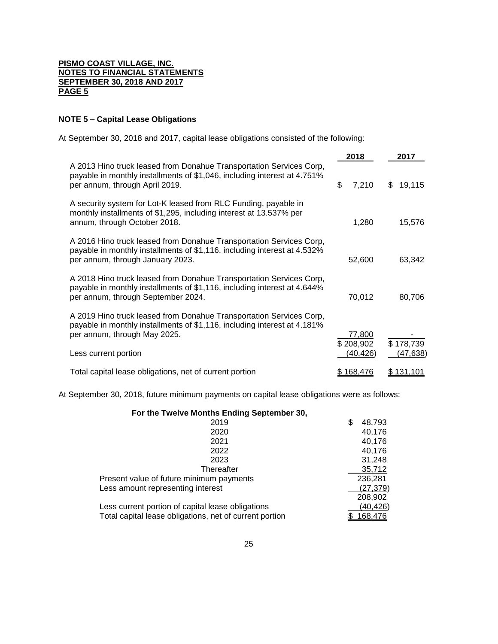# **NOTE 5 – Capital Lease Obligations**

At September 30, 2018 and 2017, capital lease obligations consisted of the following:

|                                                                                                                                                                                       | 2018                | 2017              |
|---------------------------------------------------------------------------------------------------------------------------------------------------------------------------------------|---------------------|-------------------|
| A 2013 Hino truck leased from Donahue Transportation Services Corp,<br>payable in monthly installments of \$1,046, including interest at 4.751%<br>per annum, through April 2019.     | \$<br>7,210         | 19,115<br>\$      |
| A security system for Lot-K leased from RLC Funding, payable in<br>monthly installments of \$1,295, including interest at 13.537% per<br>annum, through October 2018.                 | 1,280               | 15,576            |
| A 2016 Hino truck leased from Donahue Transportation Services Corp,<br>payable in monthly installments of \$1,116, including interest at 4.532%<br>per annum, through January 2023.   | 52,600              | 63,342            |
| A 2018 Hino truck leased from Donahue Transportation Services Corp,<br>payable in monthly installments of \$1,116, including interest at 4.644%<br>per annum, through September 2024. | 70,012              | 80,706            |
| A 2019 Hino truck leased from Donahue Transportation Services Corp,<br>payable in monthly installments of \$1,116, including interest at 4.181%<br>per annum, through May 2025.       | 77,800<br>\$208,902 | \$178,739         |
| Less current portion                                                                                                                                                                  | <u>(40,426)</u>     | (47, 638)         |
| Total capital lease obligations, net of current portion                                                                                                                               | 168,476             | <u>\$ 131,101</u> |

At September 30, 2018, future minimum payments on capital lease obligations were as follows:

| For the Twelve Months Ending September 30,              |   |           |
|---------------------------------------------------------|---|-----------|
| 2019                                                    | S | 48,793    |
| 2020                                                    |   | 40,176    |
| 2021                                                    |   | 40,176    |
| 2022                                                    |   | 40,176    |
| 2023                                                    |   | 31,248    |
| Thereafter                                              |   | 35,712    |
| Present value of future minimum payments                |   | 236,281   |
| Less amount representing interest                       |   | (27, 379) |
|                                                         |   | 208,902   |
| Less current portion of capital lease obligations       |   | (40,426)  |
| Total capital lease obligations, net of current portion |   | 168,476   |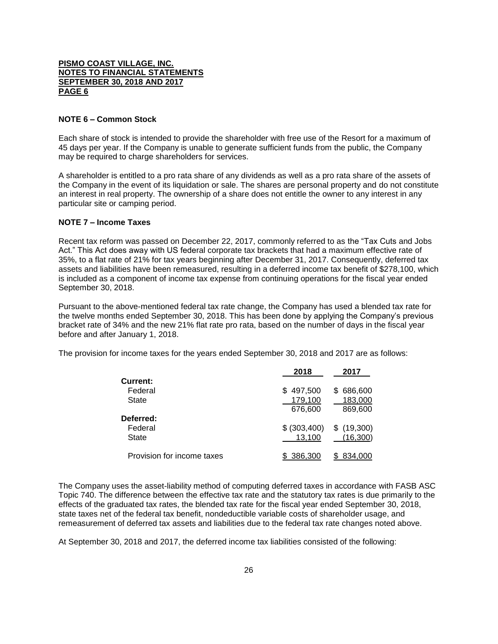#### **NOTE 6 – Common Stock**

Each share of stock is intended to provide the shareholder with free use of the Resort for a maximum of 45 days per year. If the Company is unable to generate sufficient funds from the public, the Company may be required to charge shareholders for services.

A shareholder is entitled to a pro rata share of any dividends as well as a pro rata share of the assets of the Company in the event of its liquidation or sale. The shares are personal property and do not constitute an interest in real property. The ownership of a share does not entitle the owner to any interest in any particular site or camping period.

#### **NOTE 7 – Income Taxes**

Recent tax reform was passed on December 22, 2017, commonly referred to as the "Tax Cuts and Jobs Act." This Act does away with US federal corporate tax brackets that had a maximum effective rate of 35%, to a flat rate of 21% for tax years beginning after December 31, 2017. Consequently, deferred tax assets and liabilities have been remeasured, resulting in a deferred income tax benefit of \$278,100, which is included as a component of income tax expense from continuing operations for the fiscal year ended September 30, 2018.

Pursuant to the above-mentioned federal tax rate change, the Company has used a blended tax rate for the twelve months ended September 30, 2018. This has been done by applying the Company's previous bracket rate of 34% and the new 21% flat rate pro rata, based on the number of days in the fiscal year before and after January 1, 2018.

The provision for income taxes for the years ended September 30, 2018 and 2017 are as follows:

|                            | 2018          | 2017       |
|----------------------------|---------------|------------|
| Current:                   |               |            |
| Federal                    | 497,500<br>S. | \$686,600  |
| State                      | 179,100       | 183,000    |
|                            | 676,600       | 869,600    |
| Deferred:                  |               |            |
| Federal                    | \$ (303, 400) | \$(19,300) |
| State                      | 13,100        | (16, 300)  |
| Provision for income taxes | \$386.300     | 834,000    |

The Company uses the asset-liability method of computing deferred taxes in accordance with FASB ASC Topic 740. The difference between the effective tax rate and the statutory tax rates is due primarily to the effects of the graduated tax rates, the blended tax rate for the fiscal year ended September 30, 2018, state taxes net of the federal tax benefit, nondeductible variable costs of shareholder usage, and remeasurement of deferred tax assets and liabilities due to the federal tax rate changes noted above.

At September 30, 2018 and 2017, the deferred income tax liabilities consisted of the following: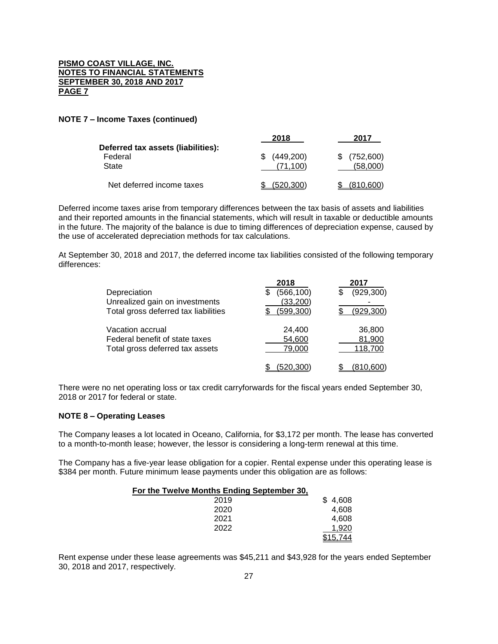### **NOTE 7 – Income Taxes (continued)**

|                                                               | 2018                          | 2017                         |
|---------------------------------------------------------------|-------------------------------|------------------------------|
| Deferred tax assets (liabilities):<br>Federal<br><b>State</b> | (449, 200)<br>\$.<br>(71.100) | (752,600)<br>SS.<br>(58.000) |
| Net deferred income taxes                                     | (520.300)                     | (810.600)                    |

Deferred income taxes arise from temporary differences between the tax basis of assets and liabilities and their reported amounts in the financial statements, which will result in taxable or deductible amounts in the future. The majority of the balance is due to timing differences of depreciation expense, caused by the use of accelerated depreciation methods for tax calculations.

At September 30, 2018 and 2017, the deferred income tax liabilities consisted of the following temporary differences:

|                                      | 2018       | 2017             |
|--------------------------------------|------------|------------------|
| Depreciation                         | (566, 100) | (929, 300)<br>\$ |
| Unrealized gain on investments       | (33, 200)  |                  |
| Total gross deferred tax liabilities | (599,300)  | (929, 300)       |
| Vacation accrual                     | 24.400     | 36,800           |
| Federal benefit of state taxes       | 54,600     | 81,900           |
| Total gross deferred tax assets      | 79,000     | 118,700          |
|                                      | (520.300)  | (810.600)        |

There were no net operating loss or tax credit carryforwards for the fiscal years ended September 30, 2018 or 2017 for federal or state.

# **NOTE 8 – Operating Leases**

The Company leases a lot located in Oceano, California, for \$3,172 per month. The lease has converted to a month-to-month lease; however, the lessor is considering a long-term renewal at this time.

The Company has a five-year lease obligation for a copier. Rental expense under this operating lease is \$384 per month. Future minimum lease payments under this obligation are as follows:

| For the Twelve Months Ending September 30, |          |  |
|--------------------------------------------|----------|--|
| 2019                                       | \$4.608  |  |
| 2020                                       | 4.608    |  |
| 2021                                       | 4.608    |  |
| 2022                                       | 1.920    |  |
|                                            | \$15.744 |  |

Rent expense under these lease agreements was \$45,211 and \$43,928 for the years ended September 30, 2018 and 2017, respectively.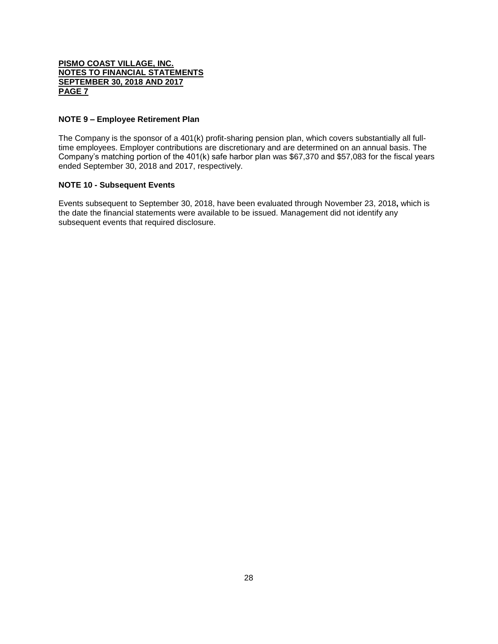### **NOTE 9 – Employee Retirement Plan**

The Company is the sponsor of a 401(k) profit-sharing pension plan, which covers substantially all fulltime employees. Employer contributions are discretionary and are determined on an annual basis. The Company's matching portion of the 401(k) safe harbor plan was \$67,370 and \$57,083 for the fiscal years ended September 30, 2018 and 2017, respectively.

### **NOTE 10 - Subsequent Events**

Events subsequent to September 30, 2018, have been evaluated through November 23, 2018**,** which is the date the financial statements were available to be issued. Management did not identify any subsequent events that required disclosure.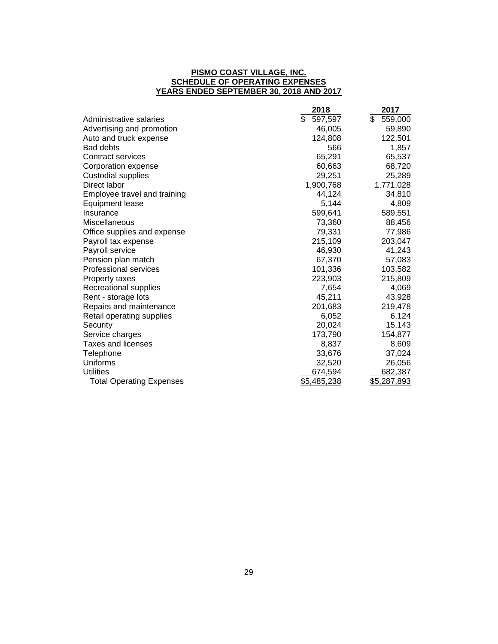#### **PISMO COAST VILLAGE, INC. SCHEDULE OF OPERATING EXPENSES YEARS ENDED SEPTEMBER 30, 2018 AND 2017**

|                                 | 2018               | 2017          |
|---------------------------------|--------------------|---------------|
| Administrative salaries         | \$<br>597,597      | \$<br>559,000 |
| Advertising and promotion       | 46,005             | 59,890        |
| Auto and truck expense          | 124,808            | 122,501       |
| <b>Bad debts</b>                | 566                | 1,857         |
| <b>Contract services</b>        | 65,291             | 65,537        |
| Corporation expense             | 60,663             | 68,720        |
| <b>Custodial supplies</b>       | 29,251             | 25,289        |
| Direct labor                    | 1,900,768          | 1,771,028     |
| Employee travel and training    | 44,124             | 34,810        |
| <b>Equipment lease</b>          | 5.144              | 4,809         |
| Insurance                       | 599,641            | 589,551       |
| Miscellaneous                   | 73,360             | 88,456        |
| Office supplies and expense     | 79,331             | 77,986        |
| Payroll tax expense             | 215,109            | 203,047       |
| Payroll service                 | 46,930             | 41,243        |
| Pension plan match              | 67,370             | 57,083        |
| <b>Professional services</b>    | 101,336            | 103,582       |
| Property taxes                  | 223,903            | 215,809       |
| Recreational supplies           | 7,654              | 4,069         |
| Rent - storage lots             | 45,211             | 43,928        |
| Repairs and maintenance         | 201,683            | 219,478       |
| Retail operating supplies       | 6,052              | 6,124         |
| Security                        | 20,024             | 15,143        |
| Service charges                 | 173,790            | 154,877       |
| Taxes and licenses              | 8,837              | 8,609         |
| Telephone                       | 33,676             | 37,024        |
| Uniforms                        | 32,520             | 26,056        |
| <b>Utilities</b>                | 674,594            | 682,387       |
| <b>Total Operating Expenses</b> | <u>\$5,485,238</u> | \$5,287,893   |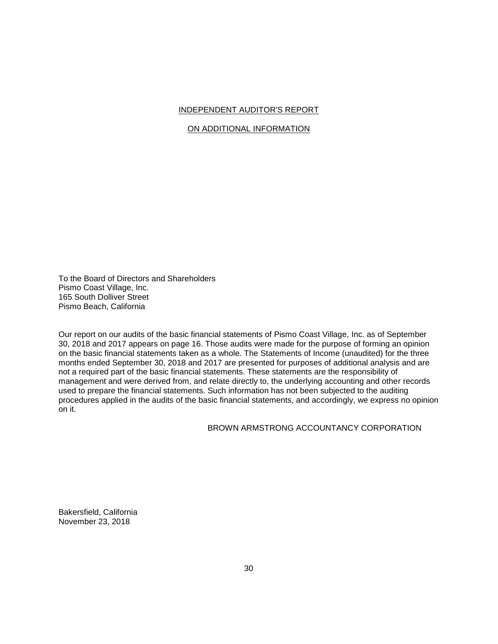# INDEPENDENT AUDITOR'S REPORT

### ON ADDITIONAL INFORMATION

To the Board of Directors and Shareholders Pismo Coast Village, Inc. 165 South Dolliver Street Pismo Beach, California

Our report on our audits of the basic financial statements of Pismo Coast Village, Inc. as of September 30, 2018 and 2017 appears on page 16. Those audits were made for the purpose of forming an opinion on the basic financial statements taken as a whole. The Statements of Income (unaudited) for the three months ended September 30, 2018 and 2017 are presented for purposes of additional analysis and are not a required part of the basic financial statements. These statements are the responsibility of management and were derived from, and relate directly to, the underlying accounting and other records used to prepare the financial statements. Such information has not been subjected to the auditing procedures applied in the audits of the basic financial statements, and accordingly, we express no opinion on it.

#### BROWN ARMSTRONG ACCOUNTANCY CORPORATION

Bakersfield, California November 23, 2018